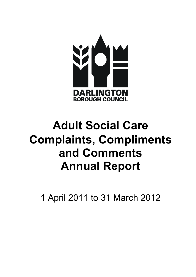

# Adult Social Care Complaints, Compliments and Comments Annual Report

1 April 2011 to 31 March 2012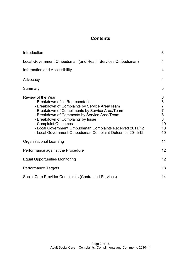# **Contents**

| Introduction                                                                                                                                                                                                                                                                                                                                                                                       | 3                                                                      |
|----------------------------------------------------------------------------------------------------------------------------------------------------------------------------------------------------------------------------------------------------------------------------------------------------------------------------------------------------------------------------------------------------|------------------------------------------------------------------------|
| Local Government Ombudsman (and Health Services Ombudsman)                                                                                                                                                                                                                                                                                                                                         | 4                                                                      |
| Information and Accessibility                                                                                                                                                                                                                                                                                                                                                                      | 4                                                                      |
| Advocacy                                                                                                                                                                                                                                                                                                                                                                                           | 4                                                                      |
| Summary                                                                                                                                                                                                                                                                                                                                                                                            | 5                                                                      |
| Review of the Year<br>- Breakdown of all Representations<br>- Breakdown of Complaints by Service Area/Team<br>- Breakdown of Compliments by Service Area/Team<br>- Breakdown of Comments by Service Area/Team<br>- Breakdown of Complaints by Issue<br>- Complaint Outcomes<br>- Local Government Ombudsman Complaints Received 2011/12<br>- Local Government Ombudsman Complaint Outcomes 2011/12 | 6<br>6<br>$\overline{7}$<br>$\overline{7}$<br>8<br>8<br>10<br>10<br>10 |
| Organisational Learning                                                                                                                                                                                                                                                                                                                                                                            | 11                                                                     |
| Performance against the Procedure                                                                                                                                                                                                                                                                                                                                                                  | 12                                                                     |
| <b>Equal Opportunities Monitoring</b>                                                                                                                                                                                                                                                                                                                                                              | 12 <sup>2</sup>                                                        |
| <b>Performance Targets</b>                                                                                                                                                                                                                                                                                                                                                                         | 13                                                                     |
| Social Care Provider Complaints (Contracted Services)                                                                                                                                                                                                                                                                                                                                              | 14                                                                     |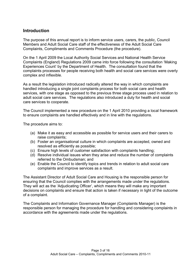## Introduction

The purpose of this annual report is to inform service users, carers, the public, Council Members and Adult Social Care staff of the effectiveness of the Adult Social Care Complaints, Compliments and Comments Procedure (the procedure).

On the 1 April 2009 the Local Authority Social Services and National Health Service Complaints (England) Regulations 2009 came into force following the consultation 'Making Experiences Count' by the Department of Health. The consultation found that the complaints processes for people receiving both health and social care services were overly complex and inflexible.

As a result the legislation introduced radically altered the way in which complaints are handled introducing a single joint complaints process for both social care and health services, with one stage as opposed to the previous three stage process used in relation to adult social care services. The regulations also introduced a duty for health and social care services to cooperate.

The Council implemented a new procedure on the 1 April 2010 providing a local framework to ensure complaints are handled effectively and in line with the regulations.

The procedure aims to:

- (a) Make it as easy and accessible as possible for service users and their carers to raise complaints;
- (b) Foster an organisational culture in which complaints are accepted, owned and resolved as efficiently as possible;
- (c) Ensure high levels of customer satisfaction with complaints handling;
- (d) Resolve individual issues when they arise and reduce the number of complaints referred to the Ombudsman; and
- (e) Enable the Council to identify topics and trends in relation to adult social care complaints and improve services as a result.

The Assistant Director of Adult Social Care and Housing is the responsible person for ensuring that the Council complies with the arrangements made under the regulations. They will act as the 'Adjudicating Officer', which means they will make any important decisions on complaints and ensure that action is taken if necessary in light of the outcome of a complaint.

The Complaints and Information Governance Manager (Complaints Manager) is the responsible person for managing the procedure for handling and considering complaints in accordance with the agreements made under the regulations.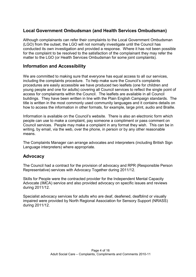# Local Government Ombudsman (and Health Services Ombudsman)

Although complainants can refer their complaints to the Local Government Ombudsman (LGO) from the outset, the LGO will not normally investigate until the Council has conducted its own investigation and provided a response. Where it has not been possible for the complaint to be resolved to the satisfaction of the complainant they may refer the matter to the LGO (or Health Services Ombudsman for some joint complaints).

## Information and Accessibility

We are committed to making sure that everyone has equal access to all our services, including the complaints procedure. To help make sure the Council's complaints procedures are easily accessible we have produced two leaflets (one for children and young people and one for adults) covering all Council services to reflect the single point of access for complainants within the Council. The leaflets are available in all Council buildings. They have been written in line with the Plain English Campaign standards. The title is written in the most commonly used community languages and it contains details on how to access the information in other formats, for example, large print, audio and Braille.

Information is available on the Council's website. There is also an electronic form which people can use to make a complaint, pay someone a compliment or pass comment on Council services. People may make a complaint in any format they wish. This can be in writing, by email, via the web, over the phone, in person or by any other reasonable means.

The Complaints Manager can arrange advocates and interpreters (including British Sign Language interpreters) where appropriate.

## Advocacy

The Council had a contract for the provision of advocacy and RPR (Responsible Person Representative) services with Advocacy Together during 2011/12.

Skills for People were the contracted provider for the Independent Mental Capacity Advocate (IMCA) service and also provided advocacy on specific issues and reviews during 2011/12.

Specialist advocacy services for adults who are deaf, deafened, deafblind or visually impaired were provided by North Regional Association for Sensory Support (NRASS) during 2011/12.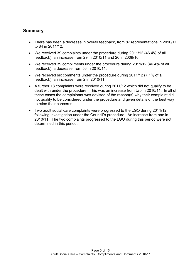## Summary

- There has been a decrease in overall feedback, from 87 representations in 2010/11 to 84 in 2011/12.
- We received 39 complaints under the procedure during 2011/12 (46.4% of all feedback), an increase from 29 in 2010/11 and 26 in 2009/10.
- We received 39 compliments under the procedure during 2011/12 (46.4% of all feedback), a decrease from 56 in 2010/11.
- We received six comments under the procedure during 2011/12 (7.1% of all feedback), an increase from 2 in 2010/11.
- A further 18 complaints were received during 2011/12 which did not qualify to be dealt with under the procedure. This was an increase from two in 2010/11. In all of these cases the complainant was advised of the reason(s) why their complaint did not qualify to be considered under the procedure and given details of the best way to raise their concerns.
- Two adult social care complaints were progressed to the LGO during 2011/12 following investigation under the Council's procedure. An increase from one in 2010/11. The two complaints progressed to the LGO during this period were not determined in this period.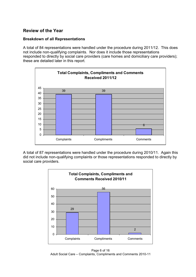## Review of the Year

### Breakdown of all Representations

A total of 84 representations were handled under the procedure during 2011/12. This does not include non-qualifying complaints. Nor does it include those representations responded to directly by social care providers (care homes and domiciliary care providers); these are detailed later in this report.



A total of 87 representations were handled under the procedure during 2010/11. Again this did not include non-qualifying complaints or those representations responded to directly by social care providers.



Page 6 of 16 Adult Social Care – Complaints, Compliments and Comments 2010-11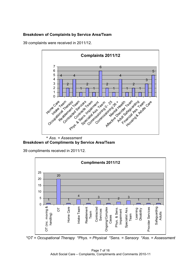### Breakdown of Complaints by Service Area/Team

39 complaints were received in 2011/12.



\* Ass. = Assessment Breakdown of Compliments by Service Area/Team

39 compliments received in 2011/12.



\*OT = Occupational Therapy \*Phys. = Physical \*Sens. = Sensory \*Ass. = Assessment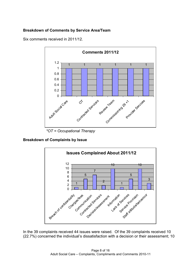## Breakdown of Comments by Service Area/Team

Six comments received in 2011/12.



\*OT = Occupational Therapy

Breakdown of Complaints by Issue



In the 39 complaints received 44 issues were raised. Of the 39 complaints received 10 (22.7%) concerned the individual's dissatisfaction with a decision or their assessment; 10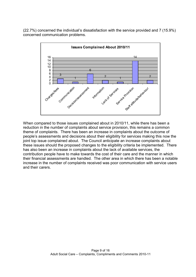(22.7%) concerned the individual's dissatisfaction with the service provided and 7 (15.9%) concerned communication problems.



When compared to those issues complained about in 2010/11, while there has been a reduction in the number of complaints about service provision, this remains a common theme of complaints. There has been an increase in complaints about the outcome of people's assessments and decisions about their eligibility for services making this now the joint top issue complained about. The Council anticipate an increase complaints about these issues should the proposed changes to the eligibility criteria be implemented. There has also been an increase in complaints about the lack of available services, the contribution people have to make towards the cost of their care and the manner in which their financial assessments are handled. The other area in which there has been a notable increase in the number of complaints received was poor communication with service users and their carers.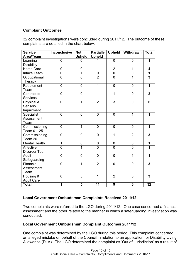### Complaint Outcomes

32 complaint investigations were concluded during 2011/12. The outcome of these complaints are detailed in the chart below.

| <b>Service</b>       | <b>Inconclusive</b> | <b>Not</b>     | <b>Partially</b> | Upheld         | Withdrawn      | <b>Total</b>            |
|----------------------|---------------------|----------------|------------------|----------------|----------------|-------------------------|
| Area/Team            |                     | <b>Upheld</b>  | <b>Upheld</b>    |                |                |                         |
| Learning             | 0                   | 0              | 1                | 0              | 0              | 1                       |
| <b>Disability</b>    |                     |                |                  |                |                |                         |
| Home Care            | 0                   | 0              | 1                | $\overline{2}$ | 1              | 4                       |
| <b>Intake Team</b>   | $\overline{0}$      | $\overline{1}$ | $\overline{0}$   | $\overline{0}$ | $\overline{0}$ | $\overline{\mathbf{1}}$ |
| Occupational         | $\overline{0}$      | $\overline{0}$ | $\overline{2}$   | $\overline{0}$ | 1              | $\overline{\mathbf{3}}$ |
| Therapy              |                     |                |                  |                |                |                         |
| Reablement           | 0                   | $\overline{0}$ | $\overline{1}$   | $\overline{0}$ | $\overline{0}$ | 1                       |
| Team                 |                     |                |                  |                |                |                         |
| Contracted           | $\overline{0}$      | $\mathbf 0$    | $\overline{1}$   | $\overline{1}$ | $\mathbf 0$    | $\overline{\mathbf{2}}$ |
| <b>Services</b>      |                     |                |                  |                |                |                         |
| Physical &           | $\overline{0}$      | $\overline{1}$ | $\overline{2}$   | $\overline{3}$ | $\overline{0}$ | 6                       |
| Sensory              |                     |                |                  |                |                |                         |
| Impairment           |                     |                |                  |                |                |                         |
| Specialist           | $\overline{0}$      | $\overline{0}$ | $\mathbf 0$      | $\overline{0}$ | 1              | 1                       |
| Assessment           |                     |                |                  |                |                |                         |
| Team                 |                     |                |                  |                |                |                         |
| Commissioning        | $\overline{0}$      | 1              | $\overline{0}$   | 0              | $\overline{0}$ | 1                       |
| Team $0 - 25$        |                     |                |                  |                |                |                         |
| Commissioning        | 0                   | 0              | $\mathbf 0$      | 1              | $\overline{2}$ | 3                       |
| Team 26 +            |                     |                |                  |                |                |                         |
| <b>Mental Health</b> | 1                   | 0              | $\mathbf 0$      | $\mathbf 0$    | $\mathbf 0$    | 1                       |
| Affective            | $\overline{0}$      | 1              | $\overline{0}$   | $\overline{0}$ | $\overline{0}$ | 1                       |
| Disorder Team        |                     |                |                  |                |                |                         |
| Adult                | $\overline{0}$      | 0              | $\overline{0}$   | 0              | 1              | 1                       |
| Safeguarding         |                     |                |                  |                |                |                         |
| Financial            | $\overline{0}$      | 1              | $\overline{2}$   | $\overline{0}$ | $\overline{0}$ | 3                       |
| Assessment           |                     |                |                  |                |                |                         |
| Team                 |                     |                |                  |                |                |                         |
| Housing &            | $\overline{0}$      | $\overline{0}$ | 1                | $\overline{2}$ | $\mathbf 0$    | 3                       |
| <b>Adult Care</b>    |                     |                |                  |                |                |                         |
| <b>Total</b>         | 1                   | 5              | 11               | 9              | 6              | 32                      |

## Local Government Ombudsman Complaints Received 2011/12

Two complaints were referred to the LGO during 2011/12. One case concerned a financial assessment and the other related to the manner in which a safeguarding investigation was conducted.

#### Local Government Ombudsman Complaint Outcomes 2011/12

One complaint was determined by the LGO during this period. This complaint concerned an alleged mistake on behalf of the Council in relation to an application for Disability Living Allowance (DLA). The LGO determined the complaint as 'Out of Jurisdiction' as a result of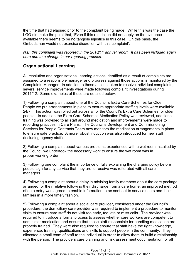the time that had elapsed prior to the complaint being made. While this was the case the LGO did make the point that, 'Even if this restriction did not apply on the evidence available there seems to be no tangible injustice in this case. On this basis, the Ombudsman would not exercise discretion with this complaint'.

N.B. this complaint was reported in the 2010/11 annual report. It has been included again here due to a change in our reporting process.

# Organisational Learning

All resolution and organisational learning actions identified as a result of complaints are assigned to a responsible manager and progress against those actions is monitored by the Complaints Manager. In addition to those actions taken to resolve individual complaints, several service improvements were made following complaint investigations during 2011/12. Some examples of these are detailed below.

1) Following a complaint about one of the Council's Extra Care Schemes for Older People we put arrangements in place to ensure appropriate staffing levels were available 24/7. This action was rolled out across all of the Council's Extra Care Schemes for older people. In addition the Extra Care Schemes Medication Policy was reviewed, additional training was provided to all staff around medication and improvements were made to recording practices in Care Plans. The Council's Development and Commissioning Services for People Contracts Team now monitors the medication arrangements in place to ensure safe practice. A more robust induction was also introduced for new staff (including agency staff).

2) Following a complaint about various problems experienced with a wet room installed by the Council we undertook the necessary work to ensure the wet room was in proper working order.

3) Following one complaint the importance of fully explaining the charging policy before people sign for any service that they are to receive was reiterated with all care managers.

4) Following a complaint about a delay in advising family members about the care package arranged for their relative following their discharge from a care home, an improved method of data entry was agreed to enable information to be sent out to service users and their families in a more timely fashion.

5) Following a complaint about a social care provider, considered under the Council's procedure, the domiciliary care provider was required to implement a procedure to monitor visits to ensure care staff do not visit too early, too late or miss calls. The provider was required to introduce a formal process to assess whether care workers are competent to administer medication and ensure that those staff responsible for handling medication are properly trained. They were also required to ensure that staff have the right knowledge, experience, training, qualifications and skills to support people in the community. They allocated a small team of staff to the individual in order to allow them to build a relationship with the person. The providers care planning and risk assessment documentation for all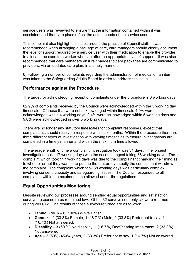service users was reviewed to ensure that the information contained within it was consistent and that care plans reflect the actual needs of the service user.

This complaint also highlighted issues around the practice of Council staff. It was recommended when arranging a package of care, care managers should clearly document the level of support required by a service user with their medication to enable the provider to allocate the case to a worker who can offer the appropriate level of support. It was also recommended that care managers ensure changes to care packages are communicated to providers, via an updated care plan, in a timely manner.

6) Following a number of complaints regarding the administration of medication an item was taken to the Safeguarding Adults Board in order to address the issue.

## Performance against the Procedure

The target for acknowledging receipt of complaints under the procedure is 3 working days.

82.9% of complaints received by the Council were acknowledged within the 3 working day timescale. Of those that were not acknowledged within timescale 4.9% were acknowledged within 4 working days, 2.4% were acknowledged within 5 working days and 9.8% were acknowledged in over 5 working days.

There are no longer any statutory timescales for complaint responses, except that complainants should receive a response within six months. Within the procedure there are three different types of investigation with varying timescales to ensure investigations are completed in a timely manner and within the maximum time allowed.

The average length of time a complaint investigation took was 31 days. The longest investigation took 117 working days with the second longest taking 88 working days. The complaint which took 117 working days was due to the complainant changing their mind as to whether or not they wanted to pursue the matter; eventually the complainant withdrew the complaint. The complaint which took 88 working days was particularly complex involving consent, capacity and safeguarding issues. The Council responded to all complaints within the maximum time allowed under the regulations.

# Equal Opportunities Monitoring

Despite reviewing our processes around sending equal opportunities and satisfaction surveys, response rates remained low. Of the 32 surveys sent only six were returned during 2011/12. The results of those surveys returned are as follows:

- Ethnic Group  $-6$  (100%) White British.
- Gender  $2$  (33.3%) Female, 1 (16.7 %) Male, 2 (33.3%) Prefer not to say, 1 (16.7%) Not answered.
- Disability  $-3$  (50 %) No disability, 1 (16.7%) Deaf/hearing impairment, 2 (33.3%) Not answered.
- Age 3 (50%) 45-64 years, 2 (33.3%) Prefer not to say, 1 (16.7%) Not answered.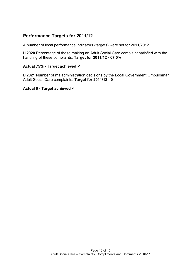## Performance Targets for 2011/12

A number of local performance indicators (targets) were set for 2011/2012.

LI2020 Percentage of those making an Adult Social Care complaint satisfied with the handling of these complaints: Target for 2011/12 - 67.5%

#### Actual 75% - Target achieved

LI2021 Number of maladministration decisions by the Local Government Ombudsman Adult Social Care complaints: Target for 2011/12 - 0

#### Actual 0 - Target achieved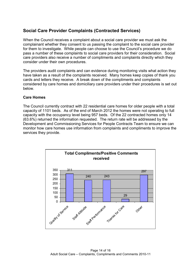# Social Care Provider Complaints (Contracted Services)

When the Council receives a complaint about a social care provider we must ask the complainant whether they consent to us passing the complaint to the social care provider for them to investigate. While people can choose to use the Council's procedure we do pass a number of these complaints to social care providers for their consideration. Social care providers also receive a number of compliments and complaints directly which they consider under their own procedures.

The providers audit complaints and can evidence during monitoring visits what action they have taken as a result of the complaints received. Many homes keep copies of thank you cards and letters they receive. A break down of the compliments and complaints considered by care homes and domiciliary care providers under their procedures is set out below.

### Care Homes

The Council currently contract with 22 residential care homes for older people with a total capacity of 1101 beds. As of the end of March 2012 the homes were not operating to full capacity with the occupancy level being 957 beds. Of the 22 contracted homes only 14 (63.6%) returned the information requested. The return rate will be addressed by the Development and Commissioning Services for People Contracts Team to ensure we can monitor how care homes use information from complaints and compliments to improve the services they provide.

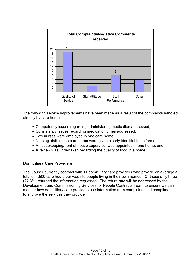

The following service improvements have been made as a result of the complaints handled directly by care homes:

- Competency issues regarding administering medication addressed;
- Consistency issues regarding medication times addressed;
- Two nurses were employed in one care home;
- Nursing staff in one care home were given clearly identifiable uniforms;
- A housekeeping/front of house supervisor was appointed in one home; and
- A review was undertaken regarding the quality of food in a home.

#### Domiciliary Care Providers

The Council currently contract with 11 domiciliary care providers who provide on average a total of 4,500 care hours per week to people living in their own homes. Of those only three (27.3%) returned the information requested. The return rate will be addressed by the Development and Commissioning Services for People Contracts Team to ensure we can monitor how domiciliary care providers use information from complaints and compliments to improve the services they provide.